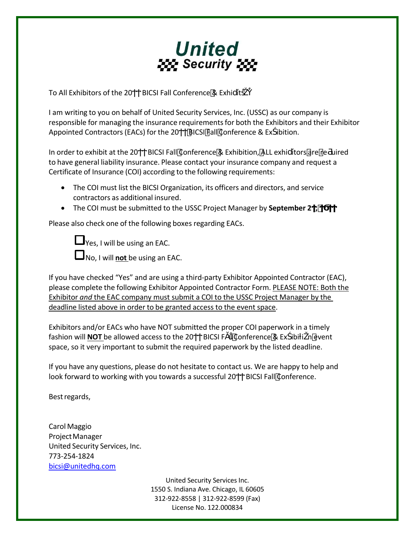

To All Exhibitors of the 20 BICSI Fall Conference & Exhi it

I am writing to you on behalf of United Security Services, Inc. (USSC) as our company is responsible for managing the insurance requirements for both the Exhibitors and their Exhibitor Appointed Contractors (EACs) for the 20 BICSI Fall Conference & Ex ibition.

In order to exhibit at the 20 BICSI Fall Conference & Exhibition, ALL exhi itors are re uired to have general liability insurance. Please contact your insurance company and request a Certificate of Insurance (COI) according to the following requirements:

- The COI must list the BICSI Organization, its officers and directors, and service contractors as additional insured.
- **•** The COI must be submitted to the USSC Project Manager by **September 2**,

Please also check one of the following boxes regarding EACs.

 $\Box$  Yes, I will be using an EAC.

No, I will **not** be using an EAC.

If you have checked "Yes" and are using a third-party Exhibitor Appointed Contractor (EAC), please complete the following Exhibitor Appointed Contractor Form. PLEASE NOTE: Both the Exhibitor *and* the EAC company must submit a COI to the USSC Project Manager by the deadline listed above in order to be granted access to the event space.

Exhibitors and/or EACs who have NOT submitted the proper COI paperwork in a timely fashion will **NOT** be allowed access to the 20 BICSI F | Conference & Ex ibi i nevent space, so it very important to submit the required paperwork by the listed deadline.

If you have any questions, please do not hesitate to contact us. We are happy to help and look forward to working with you towards a successful 20 BICSI Fall Conference.

Bestregards,

Carol Maggio Project Manager United Security Services, Inc. 773‐254‐1824 bicsi@unitedhq.com

> United Security Services Inc. 1550 S. Indiana Ave. Chicago, IL 60605 312‐922‐8558 | 312‐922‐8599 (Fax) License No. 122.000834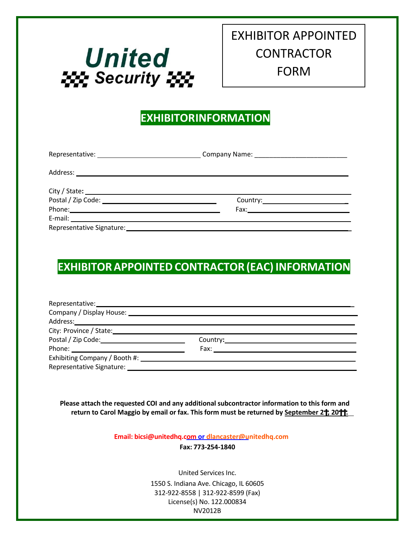

## EXHIBITOR APPOINTED **CONTRACTOR** FORM

<u> 1980 - Johann Barbara, martin a bhann an t-Ann an t-Ann an t-Ann an t-Ann an t-Ann an t-Ann an t-Ann an t-Ann</u>

## **EXHIBITORINFORMATION**

| Fax: Exercise and the second contract of the second contract of the second contract of the second contract of the second contract of the second contract of the second contract of the second contract of the second contract |  |  |  |  |
|-------------------------------------------------------------------------------------------------------------------------------------------------------------------------------------------------------------------------------|--|--|--|--|
|                                                                                                                                                                                                                               |  |  |  |  |
|                                                                                                                                                                                                                               |  |  |  |  |

## **EXHIBITOR APPOINTED CONTRACTOR (EAC) INFORMATION**

| City: Province / State: City: Province / State: |  |  |  |  |
|-------------------------------------------------|--|--|--|--|
|                                                 |  |  |  |  |
|                                                 |  |  |  |  |
| Exhibiting Company / Booth #:                   |  |  |  |  |
|                                                 |  |  |  |  |

**Please attach the requested COI and any additional subcontractor information to this form and return to Carol Maggio by email or fax. Thisform must be returned by September 2 , 20ϮϮ.**

**Email: bicsi@unitedhq.com or dlancaster@unitedhq.com**

**Fax: 773‐254‐1840**

United Services Inc. 1550 S. Indiana Ave. Chicago, IL 60605 312‐922‐8558 | 312‐922‐8599 (Fax) License(s) No. 122.000834 NV2012B